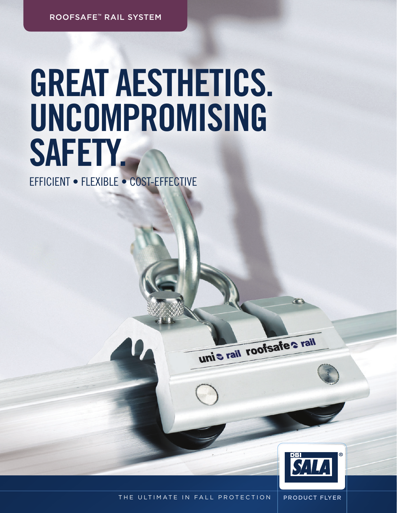roofsafe™ rail system

## Great aesthetics. Uncompromising SAFETY.

Efficient • Flexible • Cost-effective



THE ULTIMATE IN FALL PROTECTION | PRODUCT FLYER

unis rail roofsafes rail